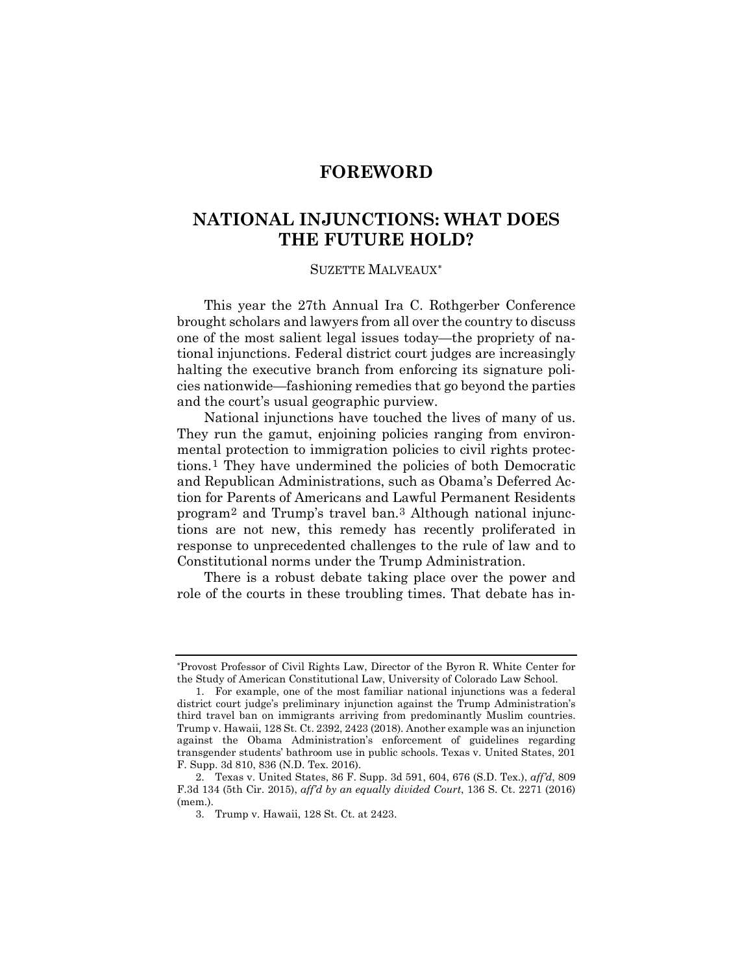## **FOREWORD**

# **NATIONAL INJUNCTIONS: WHAT DOES THE FUTURE HOLD?**

### SUZETTE MALVEAUX[∗](#page-0-0)

This year the 27th Annual Ira C. Rothgerber Conference brought scholars and lawyers from all over the country to discuss one of the most salient legal issues today—the propriety of national injunctions. Federal district court judges are increasingly halting the executive branch from enforcing its signature policies nationwide—fashioning remedies that go beyond the parties and the court's usual geographic purview.

National injunctions have touched the lives of many of us. They run the gamut, enjoining policies ranging from environmental protection to immigration policies to civil rights protections.[1](#page-0-1) They have undermined the policies of both Democratic and Republican Administrations, such as Obama's Deferred Action for Parents of Americans and Lawful Permanent Residents program[2](#page-0-2) and Trump's travel ban.[3](#page-0-3) Although national injunctions are not new, this remedy has recently proliferated in response to unprecedented challenges to the rule of law and to Constitutional norms under the Trump Administration.

There is a robust debate taking place over the power and role of the courts in these troubling times. That debate has in-

<span id="page-0-0"></span><sup>∗</sup> Provost Professor of Civil Rights Law, Director of the Byron R. White Center for the Study of American Constitutional Law, University of Colorado Law School.

<span id="page-0-1"></span><sup>1.</sup> For example, one of the most familiar national injunctions was a federal district court judge's preliminary injunction against the Trump Administration's third travel ban on immigrants arriving from predominantly Muslim countries. Trump v. Hawaii, 128 St. Ct. 2392, 2423 (2018). Another example was an injunction against the Obama Administration's enforcement of guidelines regarding transgender students' bathroom use in public schools. Texas v. United States, 201 F. Supp. 3d 810, 836 (N.D. Tex. 2016).

<span id="page-0-3"></span><span id="page-0-2"></span><sup>2.</sup> Texas v. United States, 86 F. Supp. 3d 591, 604, 676 (S.D. Tex.), *aff'd*, 809 F.3d 134 (5th Cir. 2015), *aff'd by an equally divided Court*, 136 S. Ct. 2271 (2016) (mem.).

<sup>3.</sup> Trump v. Hawaii, 128 St. Ct. at 2423.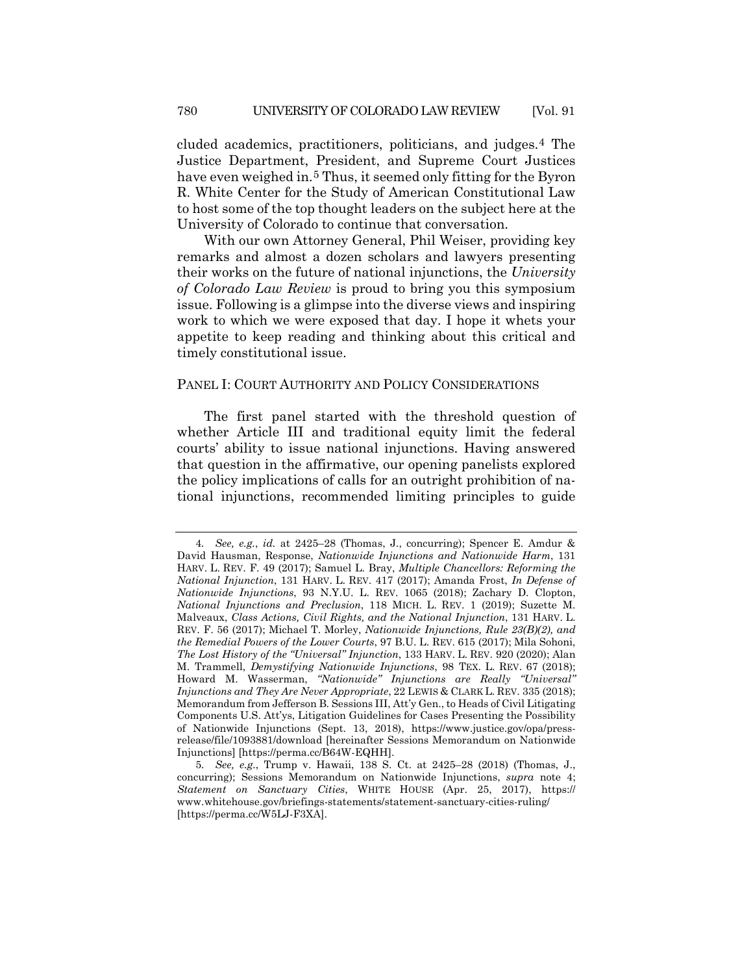<span id="page-1-0"></span>cluded academics, practitioners, politicians, and judges.[4](#page-1-1) The Justice Department, President, and Supreme Court Justices have even weighed in.<sup>[5](#page-1-2)</sup> Thus, it seemed only fitting for the Byron R. White Center for the Study of American Constitutional Law to host some of the top thought leaders on the subject here at the University of Colorado to continue that conversation.

With our own Attorney General, Phil Weiser, providing key remarks and almost a dozen scholars and lawyers presenting their works on the future of national injunctions, the *University of Colorado Law Review* is proud to bring you this symposium issue. Following is a glimpse into the diverse views and inspiring work to which we were exposed that day. I hope it whets your appetite to keep reading and thinking about this critical and timely constitutional issue.

#### PANEL I: COURT AUTHORITY AND POLICY CONSIDERATIONS

The first panel started with the threshold question of whether Article III and traditional equity limit the federal courts' ability to issue national injunctions. Having answered that question in the affirmative, our opening panelists explored the policy implications of calls for an outright prohibition of national injunctions, recommended limiting principles to guide

<span id="page-1-1"></span><sup>4</sup>*. See, e.g.*, *id.* at 2425–28 (Thomas, J., concurring); Spencer E. Amdur & David Hausman, Response, *Nationwide Injunctions and Nationwide Harm*, 131 HARV. L. REV. F. 49 (2017); Samuel L. Bray, *Multiple Chancellors: Reforming the National Injunction*, 131 HARV. L. REV. 417 (2017); Amanda Frost, *In Defense of Nationwide Injunctions*, 93 N.Y.U. L. REV. 1065 (2018); Zachary D. Clopton, *National Injunctions and Preclusion*, 118 MICH. L. REV. 1 (2019); Suzette M. Malveaux, *Class Actions, Civil Rights, and the National Injunction*, 131 HARV. L. REV. F. 56 (2017); Michael T. Morley, *Nationwide Injunctions, Rule 23(B)(2), and the Remedial Powers of the Lower Courts*, 97 B.U. L. REV. 615 (2017); Mila Sohoni, *The Lost History of the "Universal" Injunction*, 133 HARV. L. REV. 920 (2020); Alan M. Trammell, *Demystifying Nationwide Injunctions*, 98 TEX. L. REV. 67 (2018); Howard M. Wasserman, *"Nationwide" Injunctions are Really "Universal" Injunctions and They Are Never Appropriate*, 22 LEWIS & CLARK L. REV. 335 (2018); Memorandum from Jefferson B. Sessions III, Att'y Gen., to Heads of Civil Litigating Components U.S. Att'ys, Litigation Guidelines for Cases Presenting the Possibility of Nationwide Injunctions (Sept. 13, 2018), https://www.justice.gov/opa/pressrelease/file/1093881/download [hereinafter Sessions Memorandum on Nationwide Injunctions] [https://perma.cc/B64W-EQHH].

<span id="page-1-2"></span><sup>5</sup>*. See, e.g.*, Trump v. Hawaii, 138 S. Ct. at 2425–28 (2018) (Thomas, J., concurring); Sessions Memorandum on Nationwide Injunctions, *supra* note [4;](#page-1-0) *Statement on Sanctuary Cities*, WHITE HOUSE (Apr. 25, 2017), https:// www.whitehouse.gov/briefings-statements/statement-sanctuary-cities-ruling/ [https://perma.cc/W5LJ-F3XA].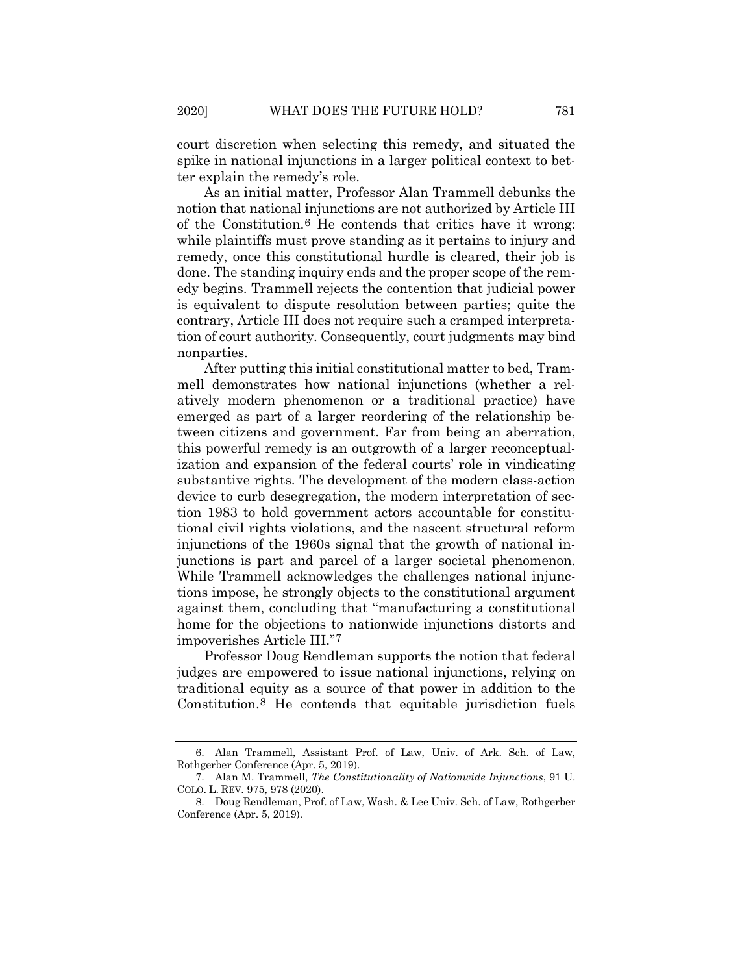court discretion when selecting this remedy, and situated the spike in national injunctions in a larger political context to better explain the remedy's role.

As an initial matter, Professor Alan Trammell debunks the notion that national injunctions are not authorized by Article III of the Constitution.[6](#page-2-0) He contends that critics have it wrong: while plaintiffs must prove standing as it pertains to injury and remedy, once this constitutional hurdle is cleared, their job is done. The standing inquiry ends and the proper scope of the remedy begins. Trammell rejects the contention that judicial power is equivalent to dispute resolution between parties; quite the contrary, Article III does not require such a cramped interpretation of court authority. Consequently, court judgments may bind nonparties.

After putting this initial constitutional matter to bed, Trammell demonstrates how national injunctions (whether a relatively modern phenomenon or a traditional practice) have emerged as part of a larger reordering of the relationship between citizens and government. Far from being an aberration, this powerful remedy is an outgrowth of a larger reconceptualization and expansion of the federal courts' role in vindicating substantive rights. The development of the modern class-action device to curb desegregation, the modern interpretation of section 1983 to hold government actors accountable for constitutional civil rights violations, and the nascent structural reform injunctions of the 1960s signal that the growth of national injunctions is part and parcel of a larger societal phenomenon. While Trammell acknowledges the challenges national injunctions impose, he strongly objects to the constitutional argument against them, concluding that "manufacturing a constitutional home for the objections to nationwide injunctions distorts and impoverishes Article III."[7](#page-2-1)

Professor Doug Rendleman supports the notion that federal judges are empowered to issue national injunctions, relying on traditional equity as a source of that power in addition to the Constitution.[8](#page-2-2) He contends that equitable jurisdiction fuels

<span id="page-2-0"></span><sup>6.</sup> Alan Trammell, Assistant Prof. of Law, Univ. of Ark. Sch. of Law, Rothgerber Conference (Apr. 5, 2019).

<span id="page-2-1"></span><sup>7.</sup> Alan M. Trammell, *The Constitutionality of Nationwide Injunctions*, 91 U. COLO. L. REV. 975, 978 (2020).

<span id="page-2-2"></span><sup>8.</sup> Doug Rendleman, Prof. of Law, Wash. & Lee Univ. Sch. of Law, Rothgerber Conference (Apr. 5, 2019).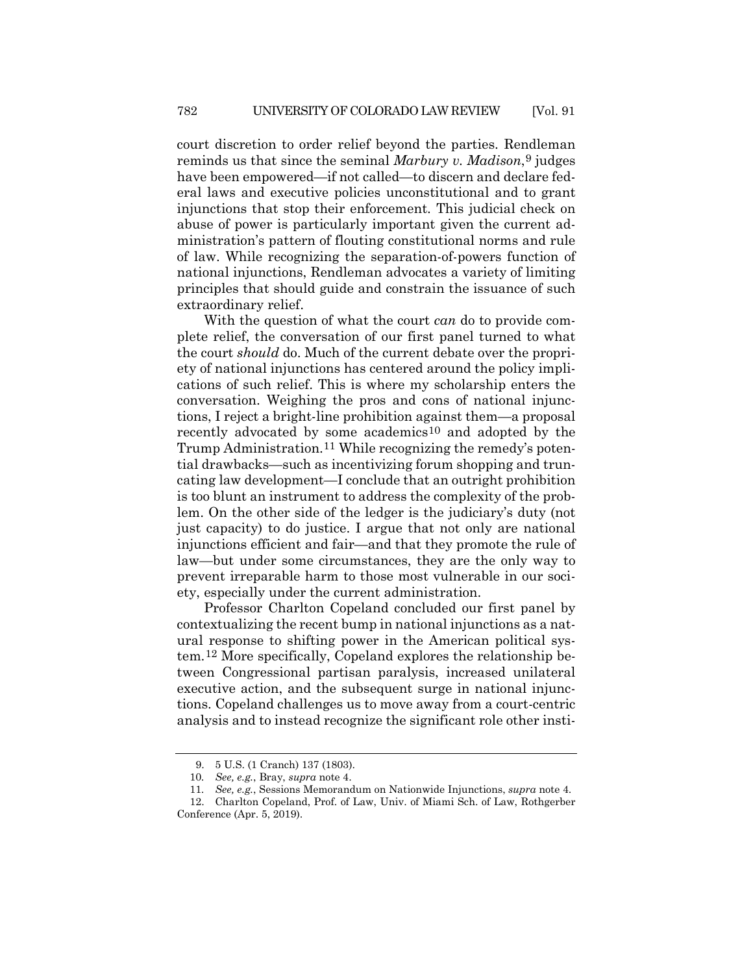court discretion to order relief beyond the parties. Rendleman reminds us that since the seminal *Marbury v. Madison*[,9](#page-3-0) judges have been empowered—if not called—to discern and declare federal laws and executive policies unconstitutional and to grant injunctions that stop their enforcement. This judicial check on abuse of power is particularly important given the current administration's pattern of flouting constitutional norms and rule of law. While recognizing the separation-of-powers function of national injunctions, Rendleman advocates a variety of limiting principles that should guide and constrain the issuance of such extraordinary relief.

With the question of what the court *can* do to provide complete relief, the conversation of our first panel turned to what the court *should* do. Much of the current debate over the propriety of national injunctions has centered around the policy implications of such relief. This is where my scholarship enters the conversation. Weighing the pros and cons of national injunctions, I reject a bright-line prohibition against them—a proposal recently advocated by some academics[10](#page-3-1) and adopted by the Trump Administration.<sup>[11](#page-3-2)</sup> While recognizing the remedy's potential drawbacks—such as incentivizing forum shopping and truncating law development—I conclude that an outright prohibition is too blunt an instrument to address the complexity of the problem. On the other side of the ledger is the judiciary's duty (not just capacity) to do justice. I argue that not only are national injunctions efficient and fair—and that they promote the rule of law—but under some circumstances, they are the only way to prevent irreparable harm to those most vulnerable in our society, especially under the current administration.

Professor Charlton Copeland concluded our first panel by contextualizing the recent bump in national injunctions as a natural response to shifting power in the American political system.[12](#page-3-3) More specifically, Copeland explores the relationship between Congressional partisan paralysis, increased unilateral executive action, and the subsequent surge in national injunctions. Copeland challenges us to move away from a court-centric analysis and to instead recognize the significant role other insti-

<sup>9.</sup> 5 U.S. (1 Cranch) 137 (1803).

<sup>10</sup>*. See, e.g.*, Bray, *supra* note [4.](#page-1-0)

<sup>11</sup>*. See, e.g.*, Sessions Memorandum on Nationwide Injunctions, *supra* not[e 4.](#page-1-0)

<span id="page-3-3"></span><span id="page-3-2"></span><span id="page-3-1"></span><span id="page-3-0"></span><sup>12.</sup> Charlton Copeland, Prof. of Law, Univ. of Miami Sch. of Law, Rothgerber Conference (Apr. 5, 2019).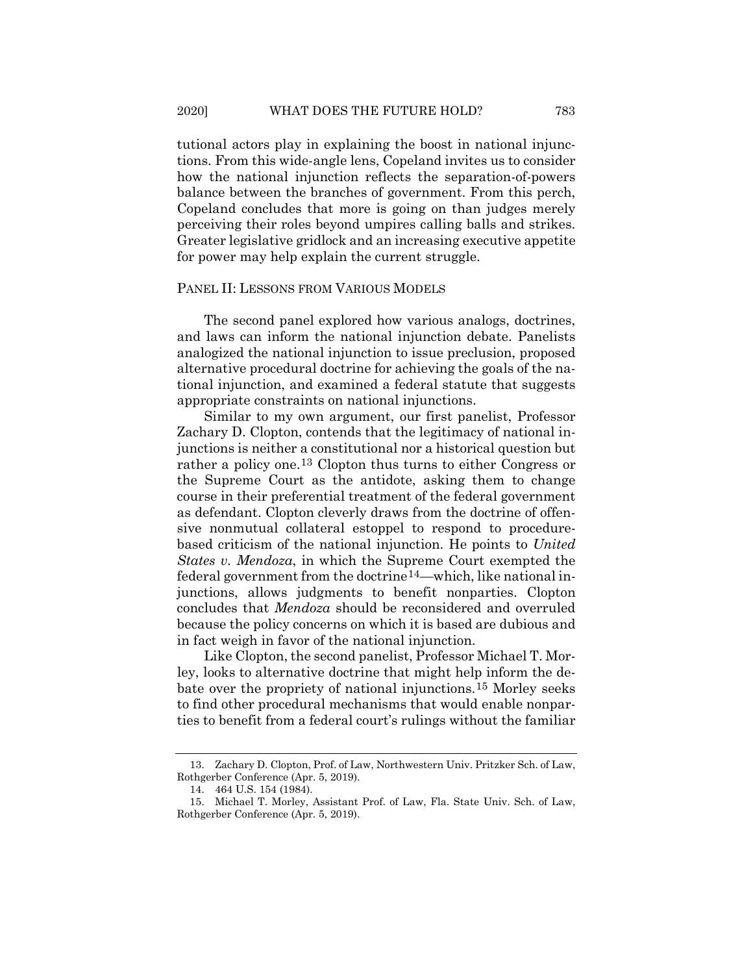tutional actors play in explaining the boost in national injunctions. From this wide-angle lens, Copeland invites us to consider how the national injunction reflects the separation-of-powers balance between the branches of government. From this perch, Copeland concludes that more is going on than judges merely perceiving their roles beyond umpires calling balls and strikes. Greater legislative gridlock and an increasing executive appetite for power may help explain the current struggle.

#### PANEL II: LESSONS FROM VARIOUS MODELS

The second panel explored how various analogs, doctrines, and laws can inform the national injunction debate. Panelists analogized the national injunction to issue preclusion, proposed alternative procedural doctrine for achieving the goals of the national injunction, and examined a federal statute that suggests appropriate constraints on national injunctions.

Similar to my own argument, our first panelist, Professor Zachary D. Clopton, contends that the legitimacy of national injunctions is neither a constitutional nor a historical question but rather a policy one.[13](#page-4-0) Clopton thus turns to either Congress or the Supreme Court as the antidote, asking them to change course in their preferential treatment of the federal government as defendant. Clopton cleverly draws from the doctrine of offensive nonmutual collateral estoppel to respond to procedurebased criticism of the national injunction. He points to *United States v. Mendoza*, in which the Supreme Court exempted the federal government from the doctrine[14—](#page-4-1)which, like national injunctions, allows judgments to benefit nonparties. Clopton concludes that *Mendoza* should be reconsidered and overruled because the policy concerns on which it is based are dubious and in fact weigh in favor of the national injunction.

Like Clopton, the second panelist, Professor Michael T. Morley, looks to alternative doctrine that might help inform the debate over the propriety of national injunctions.[15](#page-4-2) Morley seeks to find other procedural mechanisms that would enable nonparties to benefit from a federal court's rulings without the familiar

<span id="page-4-0"></span><sup>13.</sup> Zachary D. Clopton, Prof. of Law, Northwestern Univ. Pritzker Sch. of Law, Rothgerber Conference (Apr. 5, 2019).

<sup>14.</sup> 464 U.S. 154 (1984).

<span id="page-4-2"></span><span id="page-4-1"></span><sup>15.</sup> Michael T. Morley, Assistant Prof. of Law, Fla. State Univ. Sch. of Law, Rothgerber Conference (Apr. 5, 2019).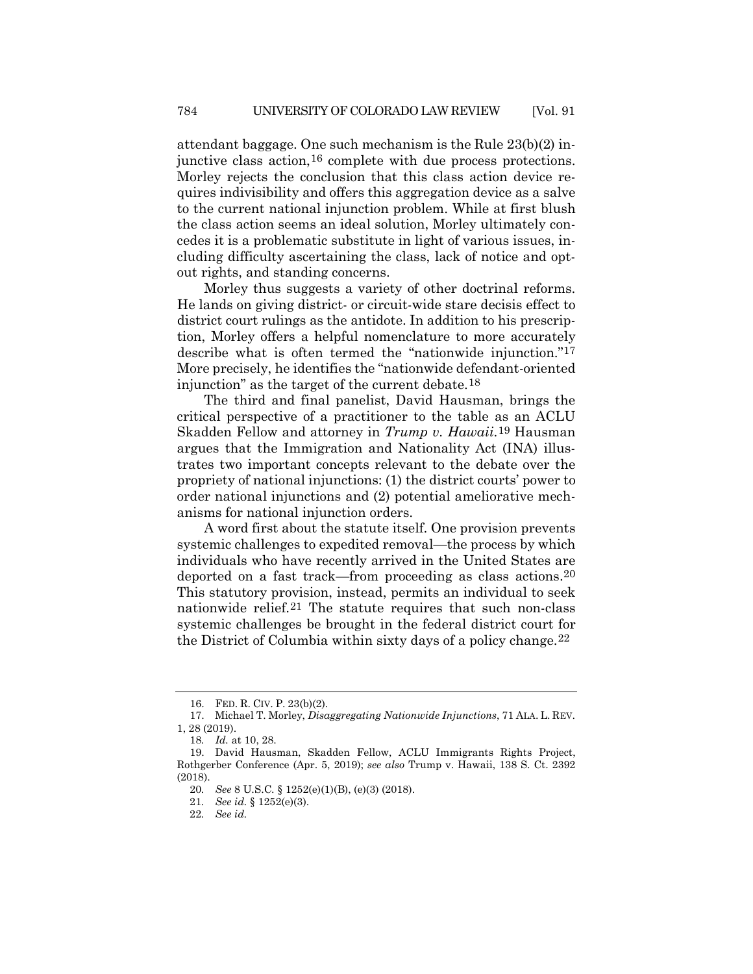attendant baggage. One such mechanism is the Rule 23(b)(2) injunctive class action,[16](#page-5-0) complete with due process protections. Morley rejects the conclusion that this class action device requires indivisibility and offers this aggregation device as a salve to the current national injunction problem. While at first blush the class action seems an ideal solution, Morley ultimately concedes it is a problematic substitute in light of various issues, including difficulty ascertaining the class, lack of notice and optout rights, and standing concerns.

Morley thus suggests a variety of other doctrinal reforms. He lands on giving district- or circuit-wide stare decisis effect to district court rulings as the antidote. In addition to his prescription, Morley offers a helpful nomenclature to more accurately describe what is often termed the "nationwide injunction.["17](#page-5-1) More precisely, he identifies the "nationwide defendant-oriented injunction" as the target of the current debate.[18](#page-5-2)

The third and final panelist, David Hausman, brings the critical perspective of a practitioner to the table as an ACLU Skadden Fellow and attorney in *Trump v. Hawaii*.[19](#page-5-3) Hausman argues that the Immigration and Nationality Act (INA) illustrates two important concepts relevant to the debate over the propriety of national injunctions: (1) the district courts' power to order national injunctions and (2) potential ameliorative mechanisms for national injunction orders.

A word first about the statute itself. One provision prevents systemic challenges to expedited removal—the process by which individuals who have recently arrived in the United States are deported on a fast track—from proceeding as class actions[.20](#page-5-4) This statutory provision, instead, permits an individual to seek nationwide relief.[21](#page-5-5) The statute requires that such non-class systemic challenges be brought in the federal district court for the District of Columbia within sixty days of a policy change.[22](#page-5-6)

<sup>16.</sup> FED. R. CIV. P. 23(b)(2).

<span id="page-5-1"></span><span id="page-5-0"></span><sup>17.</sup> Michael T. Morley, *Disaggregating Nationwide Injunctions*, 71 ALA. L. REV. 1, 28 (2019).

<sup>18</sup>*. Id.* at 10, 28.

<span id="page-5-6"></span><span id="page-5-5"></span><span id="page-5-4"></span><span id="page-5-3"></span><span id="page-5-2"></span><sup>19.</sup> David Hausman, Skadden Fellow, ACLU Immigrants Rights Project, Rothgerber Conference (Apr. 5, 2019); *see also* Trump v. Hawaii, 138 S. Ct. 2392 (2018).

<sup>20</sup>*. See* 8 U.S.C. § 1252(e)(1)(B), (e)(3) (2018).

<sup>21</sup>*. See id.* § 1252(e)(3).

<sup>22</sup>*. See id.*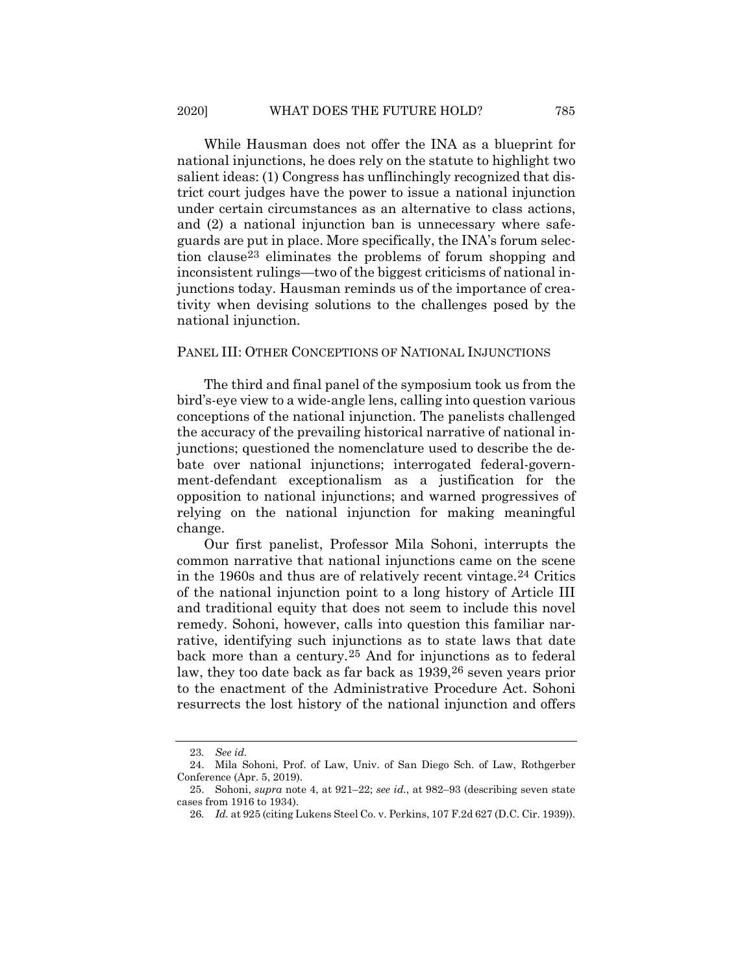While Hausman does not offer the INA as a blueprint for national injunctions, he does rely on the statute to highlight two salient ideas: (1) Congress has unflinchingly recognized that district court judges have the power to issue a national injunction under certain circumstances as an alternative to class actions, and (2) a national injunction ban is unnecessary where safeguards are put in place. More specifically, the INA's forum selection claus[e23](#page-6-0) eliminates the problems of forum shopping and inconsistent rulings—two of the biggest criticisms of national injunctions today. Hausman reminds us of the importance of creativity when devising solutions to the challenges posed by the national injunction.

#### PANEL III: OTHER CONCEPTIONS OF NATIONAL INJUNCTIONS

The third and final panel of the symposium took us from the bird's-eye view to a wide-angle lens, calling into question various conceptions of the national injunction. The panelists challenged the accuracy of the prevailing historical narrative of national injunctions; questioned the nomenclature used to describe the debate over national injunctions; interrogated federal-government-defendant exceptionalism as a justification for the opposition to national injunctions; and warned progressives of relying on the national injunction for making meaningful change.

Our first panelist, Professor Mila Sohoni, interrupts the common narrative that national injunctions came on the scene in the 1960s and thus are of relatively recent vintage.[24](#page-6-1) Critics of the national injunction point to a long history of Article III and traditional equity that does not seem to include this novel remedy. Sohoni, however, calls into question this familiar narrative, identifying such injunctions as to state laws that date back more than a century.[25](#page-6-2) And for injunctions as to federal law, they too date back as far back as 1939,[26](#page-6-3) seven years prior to the enactment of the Administrative Procedure Act. Sohoni resurrects the lost history of the national injunction and offers

<sup>23</sup>*. See id.*

<span id="page-6-1"></span><span id="page-6-0"></span><sup>24.</sup> Mila Sohoni, Prof. of Law, Univ. of San Diego Sch. of Law, Rothgerber Conference (Apr. 5, 2019).

<span id="page-6-3"></span><span id="page-6-2"></span><sup>25.</sup> Sohoni, *supra* note [4,](#page-1-0) at 921–22; *see id.*, at 982–93 (describing seven state cases from 1916 to 1934).

<sup>26</sup>*. Id.* at 925 (citing Lukens Steel Co. v. Perkins, 107 F.2d 627 (D.C. Cir. 1939)).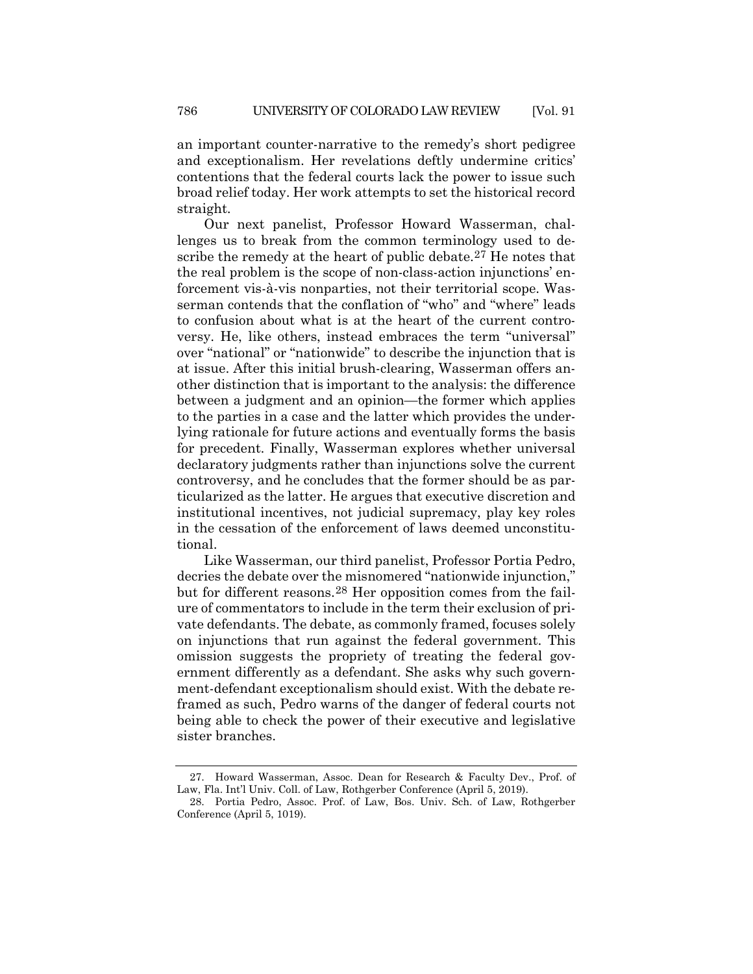an important counter-narrative to the remedy's short pedigree and exceptionalism. Her revelations deftly undermine critics' contentions that the federal courts lack the power to issue such broad relief today. Her work attempts to set the historical record straight.

Our next panelist, Professor Howard Wasserman, challenges us to break from the common terminology used to describe the remedy at the heart of public debate.[27](#page-7-0) He notes that the real problem is the scope of non-class-action injunctions' enforcement vis-à-vis nonparties, not their territorial scope. Wasserman contends that the conflation of "who" and "where" leads to confusion about what is at the heart of the current controversy. He, like others, instead embraces the term "universal" over "national" or "nationwide" to describe the injunction that is at issue. After this initial brush-clearing, Wasserman offers another distinction that is important to the analysis: the difference between a judgment and an opinion—the former which applies to the parties in a case and the latter which provides the underlying rationale for future actions and eventually forms the basis for precedent. Finally, Wasserman explores whether universal declaratory judgments rather than injunctions solve the current controversy, and he concludes that the former should be as particularized as the latter. He argues that executive discretion and institutional incentives, not judicial supremacy, play key roles in the cessation of the enforcement of laws deemed unconstitutional.

Like Wasserman, our third panelist, Professor Portia Pedro, decries the debate over the misnomered "nationwide injunction," but for different reasons.[28](#page-7-1) Her opposition comes from the failure of commentators to include in the term their exclusion of private defendants. The debate, as commonly framed, focuses solely on injunctions that run against the federal government. This omission suggests the propriety of treating the federal government differently as a defendant. She asks why such government-defendant exceptionalism should exist. With the debate reframed as such, Pedro warns of the danger of federal courts not being able to check the power of their executive and legislative sister branches.

<span id="page-7-0"></span><sup>27.</sup> Howard Wasserman, Assoc. Dean for Research & Faculty Dev., Prof. of Law, Fla. Int'l Univ. Coll. of Law, Rothgerber Conference (April 5, 2019).

<span id="page-7-1"></span><sup>28.</sup> Portia Pedro, Assoc. Prof. of Law, Bos. Univ. Sch. of Law, Rothgerber Conference (April 5, 1019).